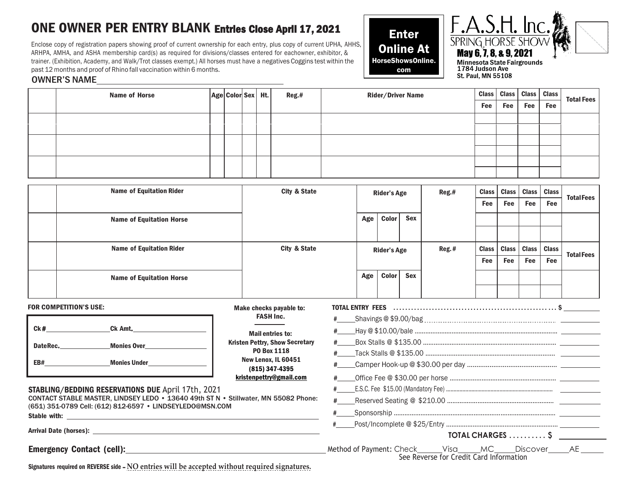## ONE OWNER PER ENTRY BLANK Entries Close April 17, 2021

Enclose copy of registration papers showing proof of current ownership for each entry, plus copy of current UPHA, AHHS, ARHPA, AMHA, and ASHA membership card(s) as required for divisions/classes entered for eachowner, exhibitor, & trainer. (Exhibition, Academy, and Walk/Trot classes exempt.) All horses must have a negatives Coggins test within the past 12 months and proof of Rhino fall vaccination within 6 months.

## Enter Online At HorseShowsOnline. com



1784 Judson Ave St. Paul, MN 55108

OWNER'S NAME

| <b>Name of Horse</b> | Age Color Sex Ht. |  | Reg.# | <b>Rider/Driver Name</b> |     |     | Class   Class   Class   Class |     | <b>Total Fees</b> |
|----------------------|-------------------|--|-------|--------------------------|-----|-----|-------------------------------|-----|-------------------|
|                      |                   |  |       |                          | Fee | Fee | Fee                           | Fee |                   |
|                      |                   |  |       |                          |     |     |                               |     |                   |
|                      |                   |  |       |                          |     |     |                               |     |                   |
|                      |                   |  |       |                          |     |     |                               |     |                   |
|                      |                   |  |       |                          |     |     |                               |     |                   |
|                      |                   |  |       |                          |     |     |                               |     |                   |
|                      |                   |  |       |                          |     |     |                               |     |                   |

| <b>Name of Equitation Rider</b> | City & State | <b>Rider's Age</b> |              | Reg.#      | <b>Class</b> | <b>Class</b> |     | Class Class | <b>Total Fees</b> |  |
|---------------------------------|--------------|--------------------|--------------|------------|--------------|--------------|-----|-------------|-------------------|--|
|                                 |              |                    |              |            | Fee          | Fee          | Fee | Fee         |                   |  |
| <b>Name of Equitation Horse</b> |              | Age                | <b>Color</b> | <b>Sex</b> |              |              |     |             |                   |  |
|                                 |              |                    |              |            |              |              |     |             |                   |  |
| <b>Name of Equitation Rider</b> | City & State | <b>Rider's Age</b> |              | Reg.#      | <b>Class</b> | <b>Class</b> |     | Class Class | <b>Total Fees</b> |  |
|                                 |              |                    |              |            |              | Fee          | Fee | Fee         | Fee               |  |
| <b>Name of Equitation Horse</b> |              | Age                | <b>Color</b> | <b>Sex</b> |              |              |     |             |                   |  |
|                                 |              |                    |              |            |              |              |     |             |                   |  |

| FOR COMPETITION'S USE:                                                                                                                           |                    | Make checks payable to:               |                                                                                                                              |  |  |  |  |  |
|--------------------------------------------------------------------------------------------------------------------------------------------------|--------------------|---------------------------------------|------------------------------------------------------------------------------------------------------------------------------|--|--|--|--|--|
|                                                                                                                                                  |                    | <b>FASH Inc.</b>                      |                                                                                                                              |  |  |  |  |  |
| CK#                                                                                                                                              | Ck Amt.            | <b>Mail entries to:</b>               |                                                                                                                              |  |  |  |  |  |
| DateRec.                                                                                                                                         | <b>Monies Over</b> | <b>Kristen Pettry, Show Secretary</b> | #                                                                                                                            |  |  |  |  |  |
|                                                                                                                                                  |                    | <b>PO Box 1118</b>                    |                                                                                                                              |  |  |  |  |  |
| EB# 2000 and 2000 and 2000 and 2000 and 2000 and 2000 and 2000 and 2000 and 2000 and 2000 and 2000 and 2000 and                                  | Monies Under       | New Lenox, IL 60451<br>(815) 347-4395 |                                                                                                                              |  |  |  |  |  |
|                                                                                                                                                  |                    | kristenpettry@gmail.com               |                                                                                                                              |  |  |  |  |  |
| <b>STABLING/BEDDING RESERVATIONS DUE April 17th, 2021</b><br>CONTACT STABLE MASTER, LINDSEY LEDO . 13640 49th ST N . Stillwater, MN 55082 Phone: |                    |                                       |                                                                                                                              |  |  |  |  |  |
|                                                                                                                                                  |                    |                                       |                                                                                                                              |  |  |  |  |  |
|                                                                                                                                                  |                    |                                       |                                                                                                                              |  |  |  |  |  |
|                                                                                                                                                  |                    |                                       | $\overline{1}$ OTAL CHARGES $\ldots$ \$                                                                                      |  |  |  |  |  |
| Emergency Contact (cell): 2008 2012 2022 2023 2024 2022 2023 2024 2022 2023 2024 2022 2023 2024 2022 2023 2024                                   |                    |                                       | Method of Payment: Check______Visa_____MC_____Discover______AE __________________<br>See Reverse for Credit Card Information |  |  |  |  |  |

Signatures required on REVERSE side – **NO entries will be accepted without required signatures.**